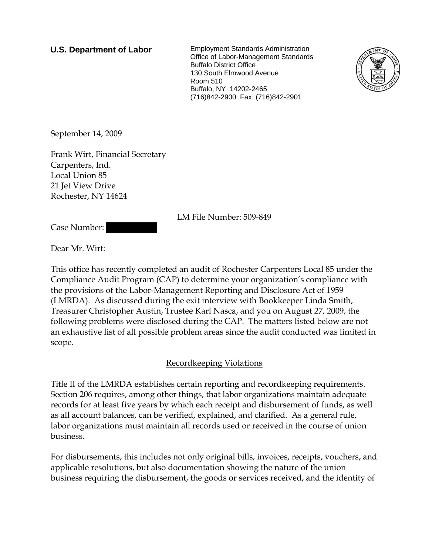**U.S. Department of Labor** Employment Standards Administration Office of Labor-Management Standards Buffalo District Office 130 South Elmwood Avenue Room 510 Buffalo, NY 14202-2465 (716)842-2900 Fax: (716)842-2901



September 14, 2009

Frank Wirt, Financial Secretary Carpenters, Ind. Local Union 85 21 Jet View Drive Rochester, NY 14624

LM File Number: 509-849

Case Number:

Dear Mr. Wirt:

This office has recently completed an audit of Rochester Carpenters Local 85 under the Compliance Audit Program (CAP) to determine your organization's compliance with the provisions of the Labor-Management Reporting and Disclosure Act of 1959 (LMRDA). As discussed during the exit interview with Bookkeeper Linda Smith, Treasurer Christopher Austin, Trustee Karl Nasca, and you on August 27, 2009, the following problems were disclosed during the CAP. The matters listed below are not an exhaustive list of all possible problem areas since the audit conducted was limited in scope.

# Recordkeeping Violations

Title II of the LMRDA establishes certain reporting and recordkeeping requirements. Section 206 requires, among other things, that labor organizations maintain adequate records for at least five years by which each receipt and disbursement of funds, as well as all account balances, can be verified, explained, and clarified. As a general rule, labor organizations must maintain all records used or received in the course of union business.

For disbursements, this includes not only original bills, invoices, receipts, vouchers, and applicable resolutions, but also documentation showing the nature of the union business requiring the disbursement, the goods or services received, and the identity of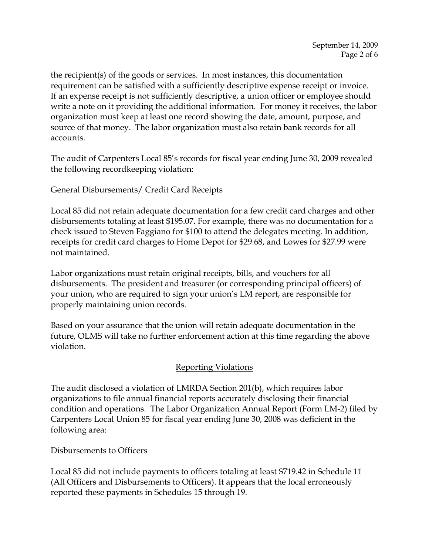the recipient(s) of the goods or services. In most instances, this documentation requirement can be satisfied with a sufficiently descriptive expense receipt or invoice. If an expense receipt is not sufficiently descriptive, a union officer or employee should write a note on it providing the additional information. For money it receives, the labor organization must keep at least one record showing the date, amount, purpose, and source of that money. The labor organization must also retain bank records for all accounts.

The audit of Carpenters Local 85's records for fiscal year ending June 30, 2009 revealed the following recordkeeping violation:

General Disbursements/ Credit Card Receipts

Local 85 did not retain adequate documentation for a few credit card charges and other disbursements totaling at least \$195.07. For example, there was no documentation for a check issued to Steven Faggiano for \$100 to attend the delegates meeting. In addition, receipts for credit card charges to Home Depot for \$29.68, and Lowes for \$27.99 were not maintained.

Labor organizations must retain original receipts, bills, and vouchers for all disbursements. The president and treasurer (or corresponding principal officers) of your union, who are required to sign your union's LM report, are responsible for properly maintaining union records.

Based on your assurance that the union will retain adequate documentation in the future, OLMS will take no further enforcement action at this time regarding the above violation.

# Reporting Violations

The audit disclosed a violation of LMRDA Section 201(b), which requires labor organizations to file annual financial reports accurately disclosing their financial condition and operations. The Labor Organization Annual Report (Form LM-2) filed by Carpenters Local Union 85 for fiscal year ending June 30, 2008 was deficient in the following area:

Disbursements to Officers

Local 85 did not include payments to officers totaling at least \$719.42 in Schedule 11 (All Officers and Disbursements to Officers). It appears that the local erroneously reported these payments in Schedules 15 through 19.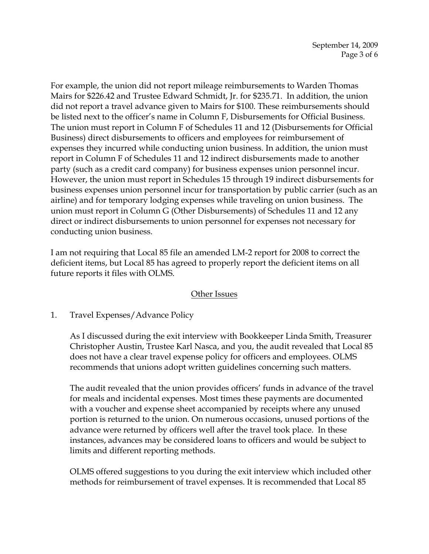For example, the union did not report mileage reimbursements to Warden Thomas Mairs for \$226.42 and Trustee Edward Schmidt, Jr. for \$235.71. In addition, the union did not report a travel advance given to Mairs for \$100. These reimbursements should be listed next to the officer's name in Column F, Disbursements for Official Business. The union must report in Column F of Schedules 11 and 12 (Disbursements for Official Business) direct disbursements to officers and employees for reimbursement of expenses they incurred while conducting union business. In addition, the union must report in Column F of Schedules 11 and 12 indirect disbursements made to another party (such as a credit card company) for business expenses union personnel incur. However, the union must report in Schedules 15 through 19 indirect disbursements for business expenses union personnel incur for transportation by public carrier (such as an airline) and for temporary lodging expenses while traveling on union business. The union must report in Column G (Other Disbursements) of Schedules 11 and 12 any direct or indirect disbursements to union personnel for expenses not necessary for conducting union business.

I am not requiring that Local 85 file an amended LM-2 report for 2008 to correct the deficient items, but Local 85 has agreed to properly report the deficient items on all future reports it files with OLMS.

# Other Issues

1. Travel Expenses/Advance Policy

As I discussed during the exit interview with Bookkeeper Linda Smith, Treasurer Christopher Austin, Trustee Karl Nasca, and you, the audit revealed that Local 85 does not have a clear travel expense policy for officers and employees. OLMS recommends that unions adopt written guidelines concerning such matters.

The audit revealed that the union provides officers' funds in advance of the travel for meals and incidental expenses. Most times these payments are documented with a voucher and expense sheet accompanied by receipts where any unused portion is returned to the union. On numerous occasions, unused portions of the advance were returned by officers well after the travel took place. In these instances, advances may be considered loans to officers and would be subject to limits and different reporting methods.

OLMS offered suggestions to you during the exit interview which included other methods for reimbursement of travel expenses. It is recommended that Local 85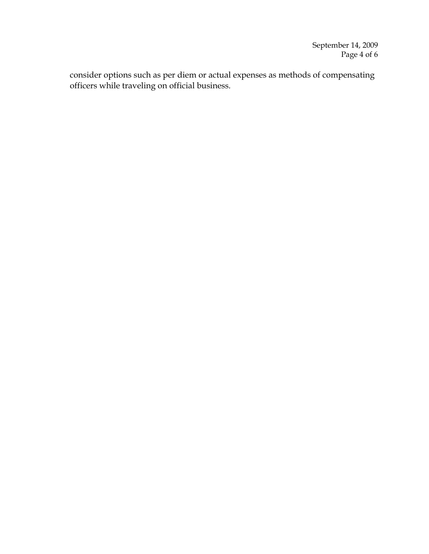consider options such as per diem or actual expenses as methods of compensating officers while traveling on official business.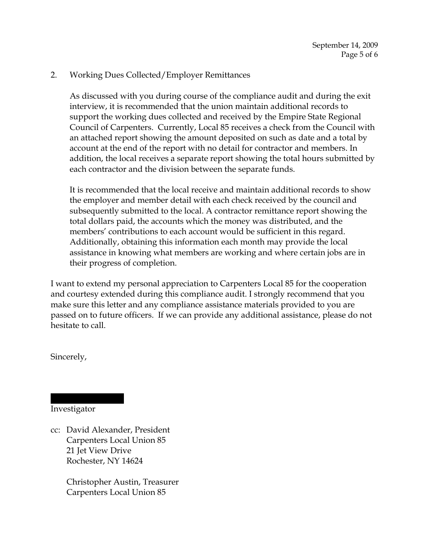### 2. Working Dues Collected/Employer Remittances

As discussed with you during course of the compliance audit and during the exit interview, it is recommended that the union maintain additional records to support the working dues collected and received by the Empire State Regional Council of Carpenters. Currently, Local 85 receives a check from the Council with an attached report showing the amount deposited on such as date and a total by account at the end of the report with no detail for contractor and members. In addition, the local receives a separate report showing the total hours submitted by each contractor and the division between the separate funds.

It is recommended that the local receive and maintain additional records to show the employer and member detail with each check received by the council and subsequently submitted to the local. A contractor remittance report showing the total dollars paid, the accounts which the money was distributed, and the members' contributions to each account would be sufficient in this regard. Additionally, obtaining this information each month may provide the local assistance in knowing what members are working and where certain jobs are in their progress of completion.

I want to extend my personal appreciation to Carpenters Local 85 for the cooperation and courtesy extended during this compliance audit. I strongly recommend that you make sure this letter and any compliance assistance materials provided to you are passed on to future officers. If we can provide any additional assistance, please do not hesitate to call.

Sincerely,

### Investigator

|||||| ||||||||

cc: David Alexander, President Carpenters Local Union 85 21 Jet View Drive Rochester, NY 14624

> Christopher Austin, Treasurer Carpenters Local Union 85